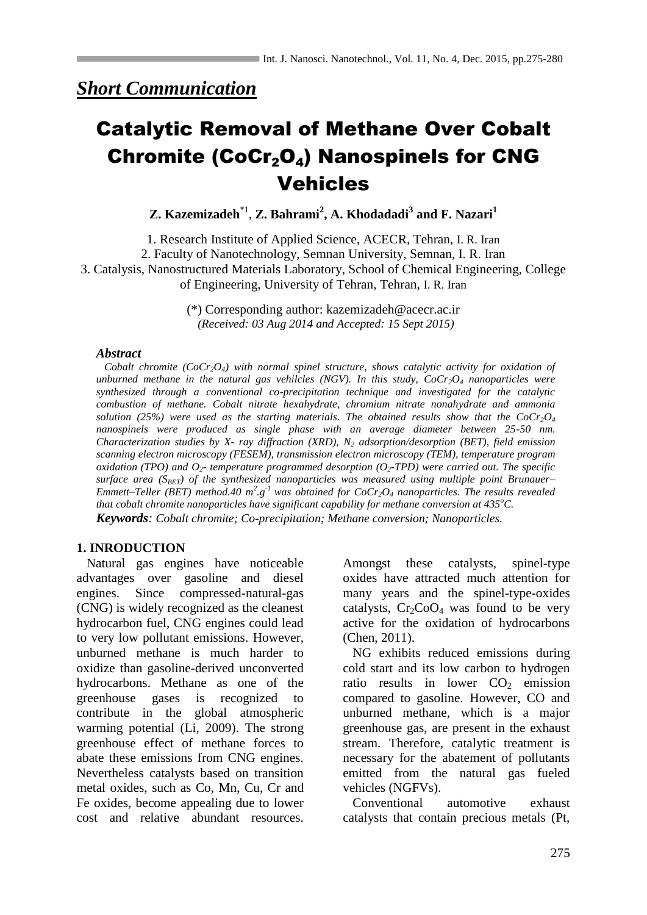# Catalytic Removal of Methane Over Cobalt Chromite (CoCr<sub>2</sub>O<sub>4</sub>) Nanospinels for CNG Vehicles

**Z. Kazemizadeh**\*1 , **Z. Bahrami<sup>2</sup> , A. Khodadadi<sup>3</sup> and F. Nazari<sup>1</sup>**

1. Research Institute of Applied Science, ACECR, Tehran, I. R. Iran 2. Faculty of Nanotechnology, Semnan University, Semnan, I. R. Iran 3. Catalysis, Nanostructured Materials Laboratory, School of Chemical Engineering, College of Engineering, University of Tehran, Tehran, I. R. Iran

> (\*) Corresponding author: kazemizadeh@acecr.ac.ir *(Received: 03 Aug 2014 and Accepted: 15 Sept 2015)*

## *Abstract*

 *Cobalt chromite (CoCr2O4) with normal spinel structure, shows catalytic activity for oxidation of unburned methane in the natural gas vehilcles (NGV). In this study, CoCr2O<sup>4</sup> nanoparticles were synthesized through a conventional co-precipitation technique and investigated for the catalytic combustion of methane. Cobalt nitrate hexahydrate, chromium nitrate nonahydrate and ammonia solution* (25%) were used as the starting materials. The obtained results show that the  $CoCr<sub>2</sub>O<sub>4</sub>$ *nanospinels were produced as single phase with an average diameter between 25-50 nm. Characterization studies by X- ray diffraction (XRD), N<sup>2</sup> adsorption/desorption (BET), field emission scanning electron microscopy (FESEM), transmission electron microscopy (TEM), temperature program oxidation (TPO)* and  $O_2$ - *temperature programmed desorption*  $(O_2$ -*TPD)* were carried out. The specific *surface area (SBET) of the synthesized nanoparticles was measured using multiple point Brunauer– Emmett–Teller (BET) method.40*  $m^2 \cdot g^{-1}$  was obtained for  $CoCr_2O_4$  *nanoparticles. The results revealed that cobalt chromite nanoparticles have significant capability for methane conversion at 435<sup>o</sup>C. Keywords: Cobalt chromite; Co-precipitation; Methane conversion; Nanoparticles.*

## **1. INRODUCTION**

 Natural gas engines have noticeable advantages over gasoline and diesel engines. Since compressed-natural-gas (CNG) is widely recognized as the cleanest hydrocarbon fuel, CNG engines could lead to very low pollutant emissions. However, unburned methane is much harder to oxidize than gasoline-derived unconverted hydrocarbons. Methane as one of the greenhouse gases is recognized to contribute in the global atmospheric warming potential (Li, 2009). The strong greenhouse effect of methane forces to abate these emissions from CNG engines. Nevertheless catalysts based on transition metal oxides, such as Co, Mn, Cu, Cr and Fe oxides, become appealing due to lower cost and relative abundant resources. Amongst these catalysts, spinel-type oxides have attracted much attention for many years and the spinel-type-oxides catalysts,  $Cr_2CoO_4$  was found to be very active for the oxidation of hydrocarbons (Chen, 2011).

 NG exhibits reduced emissions during cold start and its low carbon to hydrogen ratio results in lower  $CO<sub>2</sub>$  emission compared to gasoline. However, CO and unburned methane, which is a major greenhouse gas, are present in the exhaust stream. Therefore, catalytic treatment is necessary for the abatement of pollutants emitted from the natural gas fueled vehicles (NGFVs).

 Conventional automotive exhaust catalysts that contain precious metals (Pt,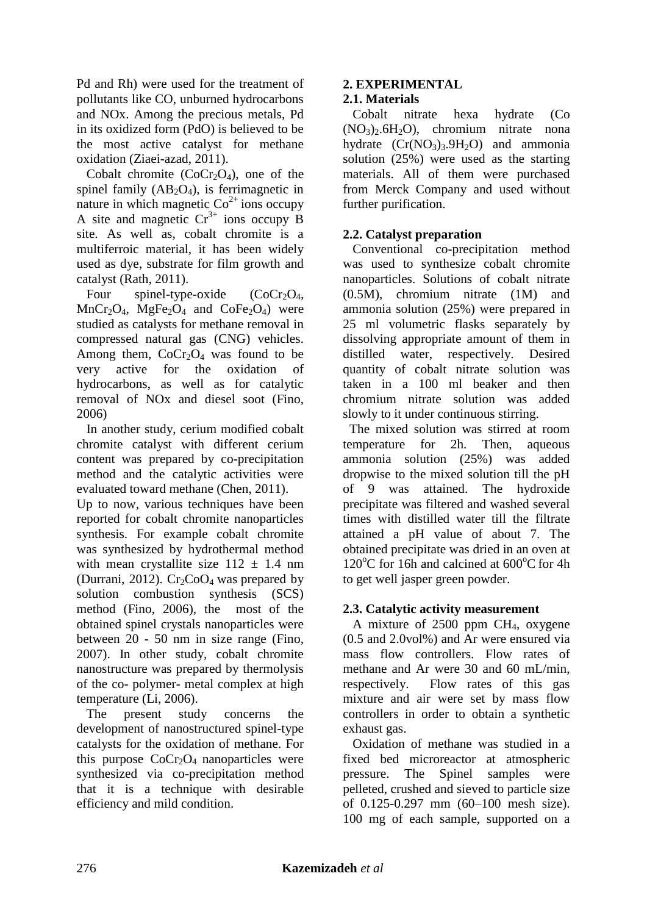Pd and Rh) were used for the treatment of pollutants like CO, unburned hydrocarbons and NOx. Among the precious metals, Pd in its oxidized form (PdO) is believed to be the most active catalyst for methane oxidation (Ziaei-azad, 2011).

Cobalt chromite  $(CoCr<sub>2</sub>O<sub>4</sub>)$ , one of the spinel family  $(AB_2O_4)$ , is ferrimagnetic in nature in which magnetic  $Co<sup>2+</sup>$  ions occupy A site and magnetic  $Cr^{3+}$  ions occupy B site. As well as, cobalt chromite is a multiferroic material, it has been widely used as dye, substrate for film growth and catalyst (Rath, 2011).

Four spinel-type-oxide  $(CoCr_2O_4,$  $MnCr<sub>2</sub>O<sub>4</sub>$ ,  $MgFe<sub>2</sub>O<sub>4</sub>$  and  $CoFe<sub>2</sub>O<sub>4</sub>$ ) were studied as catalysts for methane removal in compressed natural gas (CNG) vehicles. Among them,  $CoCr_2O_4$  was found to be very active for the oxidation of hydrocarbons, as well as for catalytic removal of NOx and diesel soot (Fino, 2006)

 In another study, cerium modified cobalt chromite catalyst with different cerium content was prepared by co-precipitation method and the catalytic activities were evaluated toward methane (Chen, 2011).

Up to now, various techniques have been reported for cobalt chromite nanoparticles synthesis. For example cobalt chromite was synthesized by hydrothermal method with mean crystallite size  $112 \pm 1.4$  nm (Durrani, 2012).  $Cr_2CoO_4$  was prepared by solution combustion synthesis (SCS) method (Fino, 2006), the most of the obtained spinel crystals nanoparticles were between 20 - 50 nm in size range (Fino, 2007). In other study, cobalt chromite nanostructure was prepared by thermolysis of the co- polymer- metal complex at high temperature (Li, 2006).

 The present study concerns the development of nanostructured spinel-type catalysts for the oxidation of methane. For this purpose  $CoCr_2O_4$  nanoparticles were synthesized via co-precipitation method that it is a technique with desirable efficiency and mild condition.

# **2. EXPERIMENTAL**

## **2.1. Materials**

 Cobalt nitrate hexa hydrate (Co  $(NO<sub>3</sub>)<sub>2</sub>$ .6H<sub>2</sub>O), chromium nitrate nona hydrate  $(Cr(NO<sub>3</sub>)<sub>3</sub>.9H<sub>2</sub>O)$  and ammonia solution (25%) were used as the starting materials. All of them were purchased from Merck Company and used without further purification.

# **2.2. Catalyst preparation**

 Conventional co-precipitation method was used to synthesize cobalt chromite nanoparticles. Solutions of cobalt nitrate (0.5M), chromium nitrate (1M) and ammonia solution (25%) were prepared in 25 ml volumetric flasks separately by dissolving appropriate amount of them in distilled water, respectively. Desired quantity of cobalt nitrate solution was taken in a 100 ml beaker and then chromium nitrate solution was added slowly to it under continuous stirring.

 The mixed solution was stirred at room temperature for 2h. Then, aqueous ammonia solution (25%) was added dropwise to the mixed solution till the pH of 9 was attained. The hydroxide precipitate was filtered and washed several times with distilled water till the filtrate attained a pH value of about 7. The obtained precipitate was dried in an oven at  $120^{\circ}$ C for 16h and calcined at 600 $^{\circ}$ C for 4h to get well jasper green powder.

# **2.3. Catalytic activity measurement**

 A mixture of 2500 ppm CH4, oxygene (0.5 and 2.0vol%) and Ar were ensured via mass flow controllers. Flow rates of methane and Ar were 30 and 60 mL/min, respectively. Flow rates of this gas mixture and air were set by mass flow controllers in order to obtain a synthetic exhaust gas.

 Oxidation of methane was studied in a fixed bed microreactor at atmospheric pressure. The Spinel samples were pelleted, crushed and sieved to particle size of 0.125-0.297 mm (60–100 mesh size). 100 mg of each sample, supported on a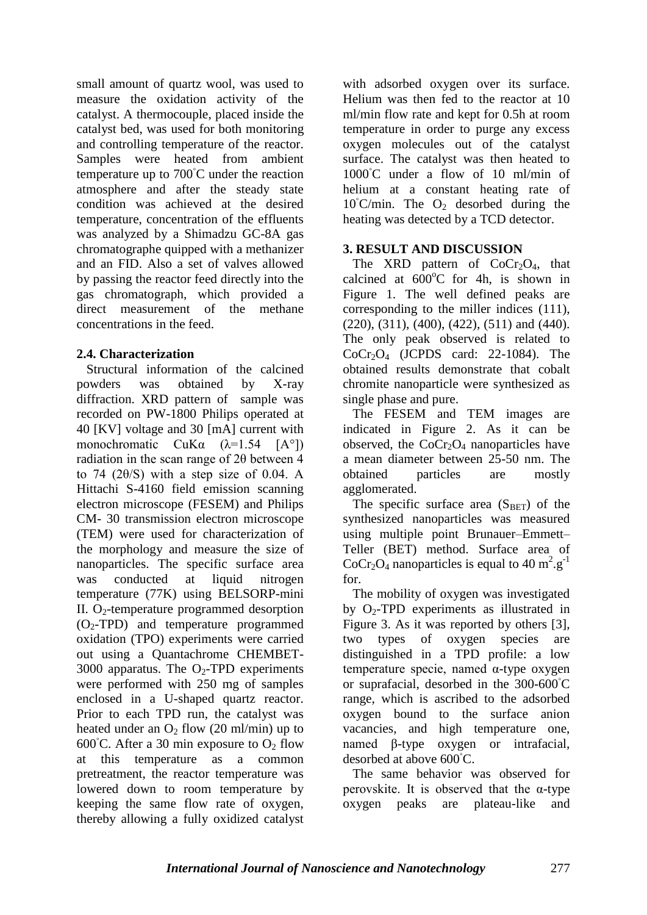small amount of quartz wool, was used to measure the oxidation activity of the catalyst. A thermocouple, placed inside the catalyst bed, was used for both monitoring and controlling temperature of the reactor. Samples were heated from ambient temperature up to 700◦C under the reaction atmosphere and after the steady state condition was achieved at the desired temperature, concentration of the effluents was analyzed by a Shimadzu GC-8A gas chromatographe quipped with a methanizer and an FID. Also a set of valves allowed by passing the reactor feed directly into the gas chromatograph, which provided a direct measurement of the methane concentrations in the feed.

## **2.4. Characterization**

 Structural information of the calcined powders was obtained by X-ray diffraction. XRD pattern of sample was recorded on PW-1800 Philips operated at 40 [KV] voltage and 30 [mA] current with monochromatic  $CuKa$   $(\lambda=1.54$   $[A^{\circ}])$ radiation in the scan range of 2θ between 4 to 74  $(2\theta/S)$  with a step size of 0.04. A Hittachi S-4160 field emission scanning electron microscope (FESEM) and Philips CM- 30 transmission electron microscope (TEM) were used for characterization of the morphology and measure the size of nanoparticles. The specific surface area was conducted at liquid nitrogen temperature (77K) using BELSORP-mini II. O<sub>2</sub>-temperature programmed desorption  $(O<sub>2</sub>-TPD)$  and temperature programmed oxidation (TPO) experiments were carried out using a Quantachrome CHEMBET-3000 apparatus. The  $O_2$ -TPD experiments were performed with 250 mg of samples enclosed in a U-shaped quartz reactor. Prior to each TPD run, the catalyst was heated under an  $O_2$  flow (20 ml/min) up to 600 $°C$ . After a 30 min exposure to  $O<sub>2</sub>$  flow at this temperature as a common pretreatment, the reactor temperature was lowered down to room temperature by keeping the same flow rate of oxygen, thereby allowing a fully oxidized catalyst

with adsorbed oxygen over its surface. Helium was then fed to the reactor at 10 ml/min flow rate and kept for 0.5h at room temperature in order to purge any excess oxygen molecules out of the catalyst surface. The catalyst was then heated to 1000◦C under a flow of 10 ml/min of helium at a constant heating rate of  $10^{\circ}$ C/min. The O<sub>2</sub> desorbed during the heating was detected by a TCD detector.

# **3. RESULT AND DISCUSSION**

The XRD pattern of  $CoCr<sub>2</sub>O<sub>4</sub>$ , that calcined at  $600^{\circ}$ C for 4h, is shown in Figure 1. The well defined peaks are corresponding to the miller indices (111),  $(220)$ ,  $(311)$ ,  $(400)$ ,  $(422)$ ,  $(511)$  and  $(440)$ . The only peak observed is related to  $CoCr<sub>2</sub>O<sub>4</sub>$  (JCPDS card: 22-1084). The obtained results demonstrate that cobalt chromite nanoparticle were synthesized as single phase and pure.

 The FESEM and TEM images are indicated in Figure 2. As it can be observed, the  $CoCr<sub>2</sub>O<sub>4</sub>$  nanoparticles have a mean diameter between 25-50 nm. The obtained particles are mostly agglomerated.

The specific surface area  $(S<sub>BET</sub>)$  of the synthesized nanoparticles was measured using multiple point Brunauer–Emmett– Teller (BET) method. Surface area of CoCr<sub>2</sub>O<sub>4</sub> nanoparticles is equal to 40 m<sup>2</sup>.g<sup>-1</sup> for.

 The mobility of oxygen was investigated by  $O_2$ -TPD experiments as illustrated in Figure 3. As it was reported by others [3], two types of oxygen species are distinguished in a TPD profile: a low temperature specie, named α-type oxygen or suprafacial, desorbed in the 300-600◦C range, which is ascribed to the adsorbed oxygen bound to the surface anion vacancies, and high temperature one, named β-type oxygen or intrafacial, desorbed at above 600◦C.

 The same behavior was observed for perovskite. It is observed that the  $\alpha$ -type oxygen peaks are plateau-like and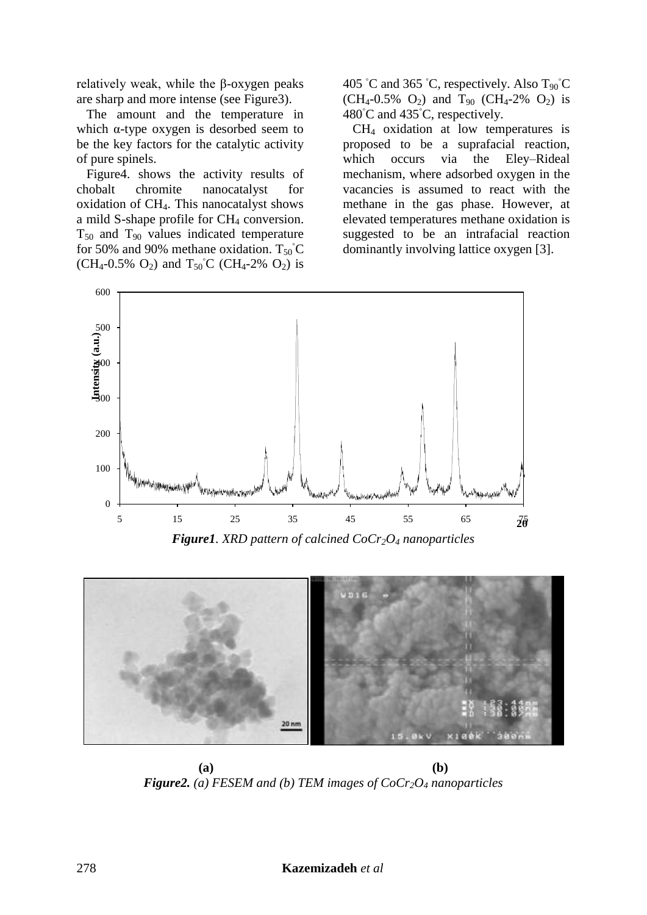relatively weak, while the β-oxygen peaks are sharp and more intense (see Figure3).

 The amount and the temperature in which  $\alpha$ -type oxygen is desorbed seem to be the key factors for the catalytic activity of pure spinels.

 Figure4. shows the activity results of chobalt chromite nanocatalyst for oxidation of CH4. This nanocatalyst shows a mild S-shape profile for  $CH<sub>4</sub>$  conversion.  $T_{50}$  and  $T_{90}$  values indicated temperature for 50% and 90% methane oxidation.  $T_{50}^{\circ}$ C  $(CH_4-0.5\%$  O<sub>2</sub>) and T<sub>50</sub><sup>°</sup>C (CH<sub>4</sub>-2% O<sub>2</sub>) is 405 °C and 365 °C, respectively. Also  $T_{90}$ °C  $(CH_4-0.5\%$  O<sub>2</sub>) and T<sub>90</sub> (CH<sub>4</sub>-2% O<sub>2</sub>) is 480◦C and 435◦C, respectively.

 CH<sup>4</sup> oxidation at low temperatures is proposed to be a suprafacial reaction, which occurs via the Eley–Rideal mechanism, where adsorbed oxygen in the vacancies is assumed to react with the methane in the gas phase. However, at elevated temperatures methane oxidation is suggested to be an intrafacial reaction dominantly involving lattice oxygen [3].



*Figure1. XRD pattern of calcined CoCr2O<sup>4</sup> nanoparticles*



**(a) (b)** *Figure2. (a) FESEM and (b) TEM images of CoCr2O<sup>4</sup> nanoparticles*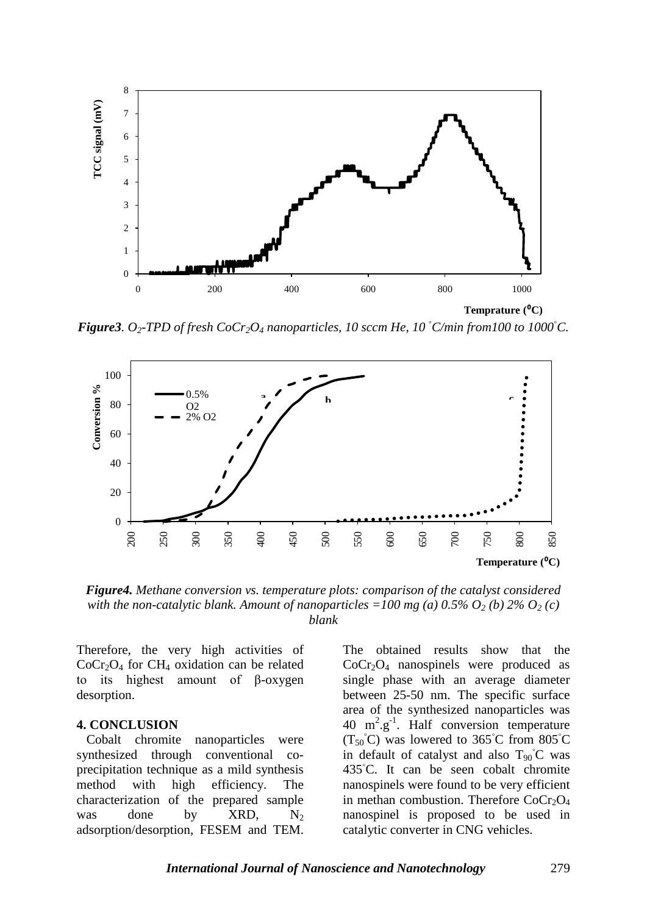

*Figure3. O2-TPD of fresh CoCr2O<sup>4</sup> nanoparticles, 10 sccm He, 10 ◦C/min from100 to 1000◦C.*



*Figure4. Methane conversion vs. temperature plots: comparison of the catalyst considered with the non-catalytic blank. Amount of nanoparticles =100 mg (a)*  $0.5\%$   $O_2$  (b)  $2\%$   $O_2$  (c) *blank*

Therefore, the very high activities of  $CoCr<sub>2</sub>O<sub>4</sub>$  for CH<sub>4</sub> oxidation can be related to its highest amount of β-oxygen desorption.

#### **4. CONCLUSION**

 Cobalt chromite nanoparticles were synthesized through conventional coprecipitation technique as a mild synthesis method with high efficiency. The characterization of the prepared sample was done by  $XRD$ ,  $N_2$ adsorption/desorption, FESEM and TEM. The obtained results show that the CoCr2O<sup>4</sup> nanospinels were produced as single phase with an average diameter between 25-50 nm. The specific surface area of the synthesized nanoparticles was 40  $m^2 \text{.} g^{-1}$ . Half conversion temperature  $(T_{50}^{\circ}C)$  was lowered to 365°C from 805°C in default of catalyst and also  $T_{90}^{\circ}$ C was 435◦C. It can be seen cobalt chromite nanospinels were found to be very efficient in methan combustion. Therefore  $CoCr<sub>2</sub>O<sub>4</sub>$ nanospinel is proposed to be used in catalytic converter in CNG vehicles.